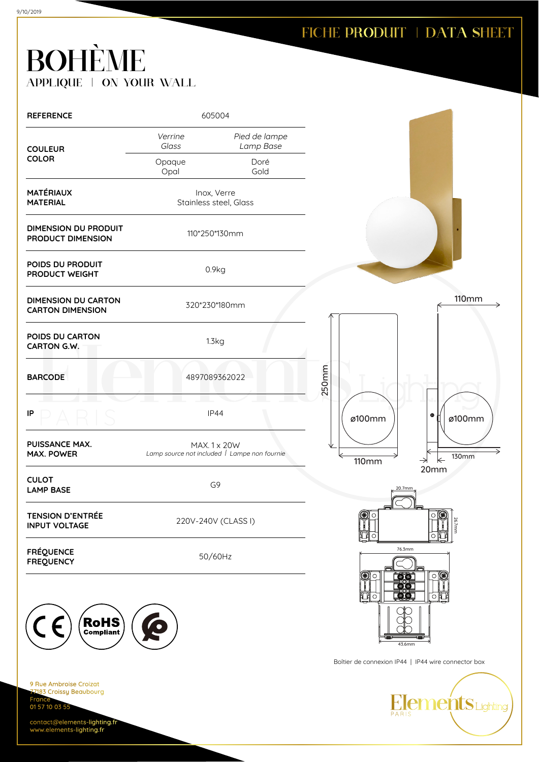| <b>REFERENCE</b>                                                                     | 605004           |                                                              |              |                                                     |
|--------------------------------------------------------------------------------------|------------------|--------------------------------------------------------------|--------------|-----------------------------------------------------|
| <b>COULEUR</b>                                                                       | Verrine<br>Glass | Pied de lampe<br>Lamp Base                                   |              |                                                     |
| <b>COLOR</b>                                                                         | Opaque<br>Opal   | Doré<br>Gold                                                 |              |                                                     |
| <b>MATÉRIAUX</b><br><b>MATERIAL</b>                                                  |                  | Inox, Verre<br>Stainless steel, Glass                        |              |                                                     |
| <b>DIMENSION DU PRODUIT</b><br>PRODUCT DIMENSION                                     |                  | 110*250*130mm                                                |              |                                                     |
| POIDS DU PRODUIT<br>PRODUCT WEIGHT                                                   |                  | 0.9kg                                                        |              |                                                     |
| <b>DIMENSION DU CARTON</b><br><b>CARTON DIMENSION</b>                                |                  | 320*230*180mm                                                |              | <b>110mm</b>                                        |
| POIDS DU CARTON<br>CARTON G.W.                                                       |                  | 1.3kg                                                        |              |                                                     |
| <b>BARCODE</b>                                                                       |                  | 4897089362022                                                | 250mm        |                                                     |
| IP                                                                                   |                  | <b>IP44</b>                                                  | ø100mm       | $\bullet$<br>ø100mm                                 |
| PUISSANCE MAX.<br><b>MAX. POWER</b>                                                  |                  | MAX. 1 x 20W<br>Lamp source not included   Lampe non fournie | <b>110mm</b> | <b>130mm</b><br>$\leftarrow$<br>$\rightarrow$       |
| <b>CULOT</b><br><b>LAMP BASE</b>                                                     |                  | G9                                                           |              | 20mm<br>20.7mm                                      |
| <b>TENSION D'ENTRÉE</b><br><b>INPUT VOLTAGE</b>                                      |                  | 220V-240V (CLASS I)                                          | F<br>C.      | ∩<br>26.7mm                                         |
| <b>FRÉQUENCE</b><br><b>FREQUENCY</b>                                                 |                  | 50/60Hz                                                      |              | 76.3mm<br>O                                         |
|                                                                                      |                  |                                                              | О<br>∩       | <u> 90</u><br><b>785</b><br>O                       |
| $\left(\mathsf{RoHS}\right)$                                                         |                  |                                                              |              | 43.6mm                                              |
|                                                                                      |                  |                                                              |              | Boîtier de connexion IP44   IP44 wire connector box |
| 9 Rue Ambroise Croizat<br>77183 Croissy Beaubourg<br><b>France</b><br>01 57 10 03 55 |                  |                                                              |              | <b>Elements</b> Lighting<br>PARIS                   |
| contact@elements-lighting.fr<br>www.elements-lighting.fr                             |                  |                                                              |              |                                                     |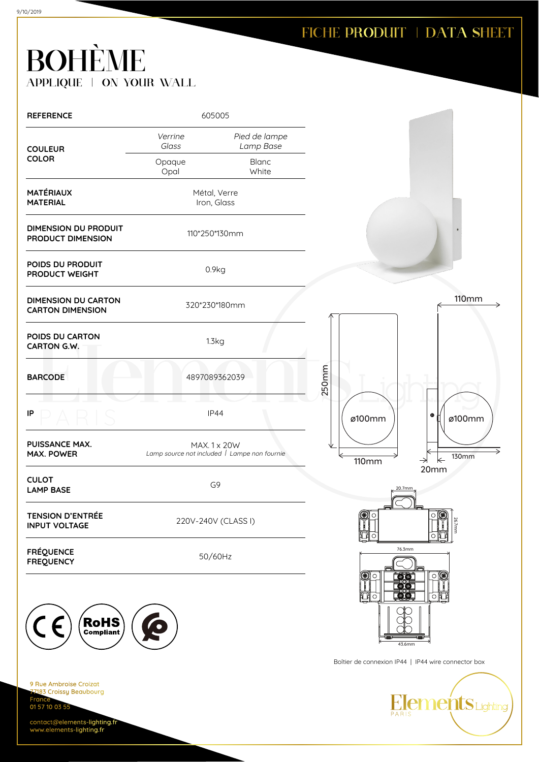| <b>REFERENCE</b>                                                                     | 605005              |                                                              |              |                                                     |
|--------------------------------------------------------------------------------------|---------------------|--------------------------------------------------------------|--------------|-----------------------------------------------------|
| <b>COULEUR</b>                                                                       | Verrine<br>Glass    | Pied de lampe<br>Lamp Base                                   |              |                                                     |
| <b>COLOR</b>                                                                         | Opaque<br>Opal      | Blanc<br>White                                               |              |                                                     |
| <b>MATÉRIAUX</b><br><b>MATERIAL</b>                                                  |                     | Métal, Verre<br>Iron, Glass                                  |              |                                                     |
| <b>DIMENSION DU PRODUIT</b><br>PRODUCT DIMENSION                                     |                     | 110*250*130mm                                                |              |                                                     |
| POIDS DU PRODUIT<br>PRODUCT WEIGHT                                                   |                     | 0.9kg                                                        |              |                                                     |
| <b>DIMENSION DU CARTON</b><br><b>CARTON DIMENSION</b>                                | 320*230*180mm       |                                                              |              | <b>110mm</b>                                        |
| POIDS DU CARTON<br>CARTON G.W.                                                       | 1.3kg               |                                                              |              |                                                     |
| <b>BARCODE</b>                                                                       |                     | 4897089362039                                                | 250mm        |                                                     |
| IP                                                                                   |                     | IP44                                                         | ø100mm       | $\bullet$<br>ø100mm                                 |
| <b>PUISSANCE MAX.</b><br><b>MAX. POWER</b>                                           |                     | MAX. 1 x 20W<br>Lamp source not included   Lampe non fournie | <b>110mm</b> | <b>130mm</b><br>$\leftarrow$<br>$\rightarrow$       |
| <b>CULOT</b><br><b>LAMP BASE</b>                                                     |                     | G9                                                           | 20.7mm       | 20mm                                                |
| <b>TENSION D'ENTRÉE</b><br><b>INPUT VOLTAGE</b>                                      | 220V-240V (CLASS I) |                                                              | O            | 勶<br>О<br>26.7mm                                    |
| <b>FRÉQUENCE</b><br><b>FREQUENCY</b>                                                 | 50/60Hz             |                                                              | O            | 76.3mm<br>O                                         |
|                                                                                      |                     |                                                              | O            | <b>ØS</b><br>60<br>$\circ$                          |
| <b>RoHS</b>                                                                          |                     |                                                              |              | 43.6mm                                              |
|                                                                                      |                     |                                                              |              | Boîtier de connexion IP44   IP44 wire connector box |
| 9 Rue Ambroise Croizat<br>77183 Croissy Beaubourg<br><b>France</b><br>01 57 10 03 55 |                     |                                                              | PARIS        | Elements Lighting                                   |
| contact@elements-lighting.fr<br>www.elements-lighting.fr                             |                     |                                                              |              |                                                     |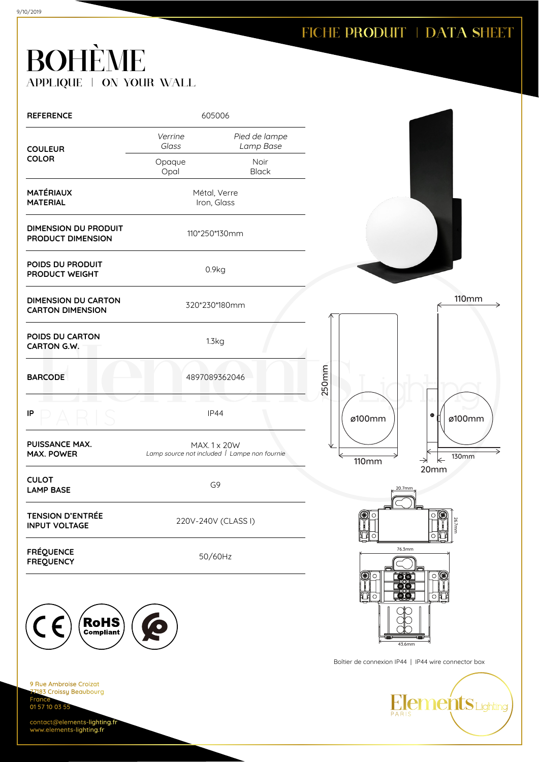| <b>REFERENCE</b>                                                           | 605006           |                                                              |              |                                                       |
|----------------------------------------------------------------------------|------------------|--------------------------------------------------------------|--------------|-------------------------------------------------------|
| <b>COULEUR</b>                                                             | Verrine<br>Glass | Pied de lampe<br>Lamp Base                                   |              |                                                       |
| <b>COLOR</b>                                                               | Opaque<br>Opal   | Noir<br><b>Black</b>                                         |              |                                                       |
| <b>MATÉRIAUX</b><br><b>MATERIAL</b>                                        |                  | Métal, Verre<br>Iron, Glass                                  |              |                                                       |
| <b>DIMENSION DU PRODUIT</b><br>PRODUCT DIMENSION                           |                  | 110*250*130mm                                                |              |                                                       |
| POIDS DU PRODUIT<br>PRODUCT WEIGHT                                         |                  | 0.9kg                                                        |              |                                                       |
| <b>DIMENSION DU CARTON</b><br><b>CARTON DIMENSION</b>                      |                  | 320*230*180mm                                                |              | <b>110mm</b>                                          |
| POIDS DU CARTON<br>CARTON G.W.                                             |                  | 1.3kg                                                        |              |                                                       |
| <b>BARCODE</b>                                                             |                  | 4897089362046                                                | 250mm        |                                                       |
| IP                                                                         |                  | <b>IP44</b>                                                  | ø100mm       | $\bullet$<br>ø100mm                                   |
| PUISSANCE MAX.<br>MAX. POWER                                               |                  | MAX. 1 x 20W<br>Lamp source not included   Lampe non fournie | <b>110mm</b> | <b>130mm</b><br>$\leftarrow$<br>$\rightarrow$<br>20mm |
| <b>CULOT</b><br><b>LAMP BASE</b>                                           |                  | G9                                                           |              | 20.7mm                                                |
| <b>TENSION D'ENTRÉE</b><br><b>INPUT VOLTAGE</b>                            |                  | 220V-240V (CLASS I)                                          | O            | O<br>26.7mm                                           |
| <b>FRÉQUENCE</b><br><b>FREQUENCY</b>                                       |                  | 50/60Hz                                                      | С            | 76.3mm<br>O<br><u>[a][s]</u>                          |
|                                                                            |                  |                                                              | О            | erors<br>Løts<br>西南<br>$\circ$                        |
| RoHS                                                                       |                  |                                                              |              | 43.6mm                                                |
|                                                                            |                  | Boîtier de connexion IP44   IP44 wire connector box          |              |                                                       |
| 9 Rue Ambroise Croizat<br>77183 Croissy Beaubourg<br>France <sup>-</sup>   |                  |                                                              |              |                                                       |
| 01 57 10 03 55<br>contact@elements-lighting.fr<br>www.elements-lighting.fr |                  |                                                              |              | Elements Lighting                                     |